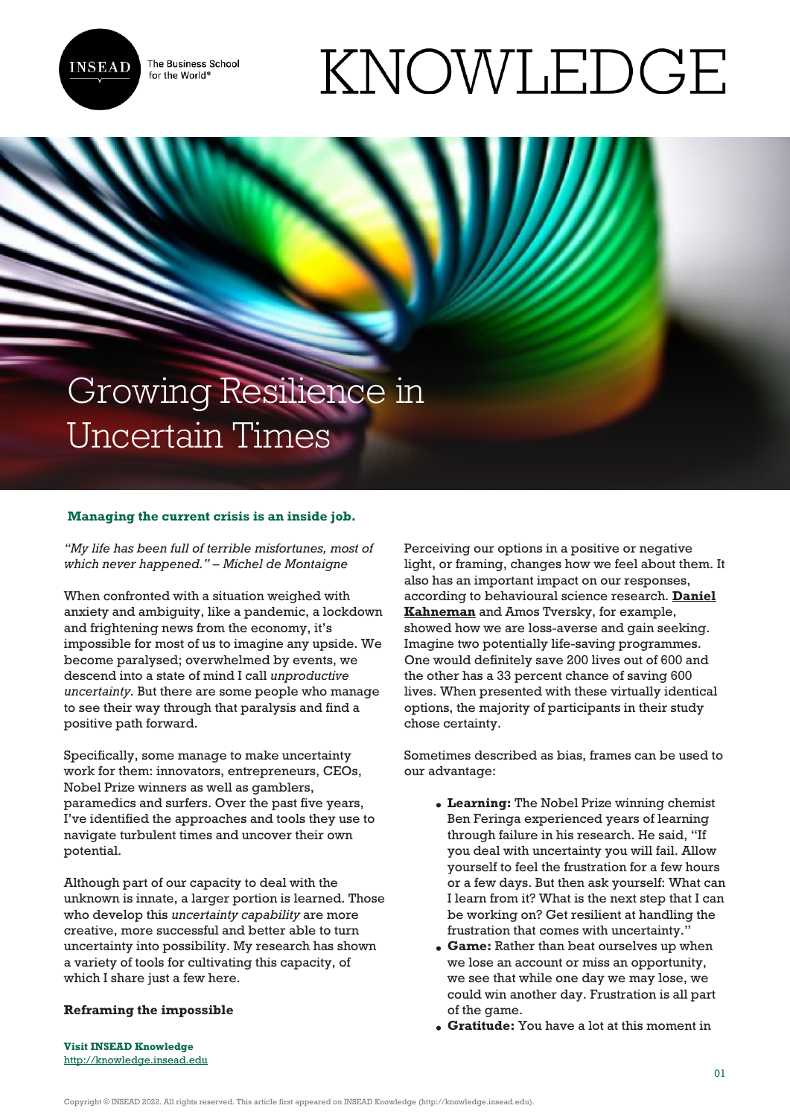

The Business School for the World<sup>®</sup>

# KNOWLEDGE

# Growing Resilience in Uncertain Times

# **Managing the current crisis is an inside job.**

*"My life has been full of terrible misfortunes, most of which never happened."* – *Michel de Montaigne*

When confronted with a situation weighed with anxiety and ambiguity, like a pandemic, a lockdown and frightening news from the economy, it's impossible for most of us to imagine any upside. We become paralysed; overwhelmed by events, we descend into a state of mind I call *unproductive uncertainty.* But there are some people who manage to see their way through that paralysis and find a positive path forward.

Specifically, some manage to make uncertainty work for them: innovators, entrepreneurs, CEOs, Nobel Prize winners as well as gamblers, paramedics and surfers. Over the past five years, I've identified the approaches and tools they use to navigate turbulent times and uncover their own potential.

Although part of our capacity to deal with the unknown is innate, a larger portion is learned. Those who develop this *uncertainty capability* are more creative, more successful and better able to turn uncertainty into possibility. My research has shown a variety of tools for cultivating this capacity, of which I share just a few here.

### **Reframing the impossible**

Perceiving our options in a positive or negative light, or framing, changes how we feel about them. It also has an important impact on our responses, according to behavioural science research. **[Daniel](https://www.nytimes.com/2002/11/05/health/a-conversation-with-daniel-kahneman-on-profit-loss-and-the-mysteries-of-the-mind.html) [Kahneman](https://www.nytimes.com/2002/11/05/health/a-conversation-with-daniel-kahneman-on-profit-loss-and-the-mysteries-of-the-mind.html)** and Amos Tversky, for example, showed how we are loss-averse and gain seeking. Imagine two potentially life-saving programmes. One would definitely save 200 lives out of 600 and the other has a 33 percent chance of saving 600 lives. When presented with these virtually identical options, the majority of participants in their study chose certainty.

Sometimes described as bias, frames can be used to our advantage:

- **Learning:** The Nobel Prize winning chemist Ben Feringa experienced years of learning through failure in his research. He said, "If you deal with uncertainty you will fail. Allow yourself to feel the frustration for a few hours or a few days. But then ask yourself: What can I learn from it? What is the next step that I can be working on? Get resilient at handling the frustration that comes with uncertainty."
- **Game:** Rather than beat ourselves up when we lose an account or miss an opportunity, we see that while one day we may lose, we could win another day. Frustration is all part of the game.
- **Gratitude:** You have a lot at this moment in

**Visit INSEAD Knowledge** <http://knowledge.insead.edu>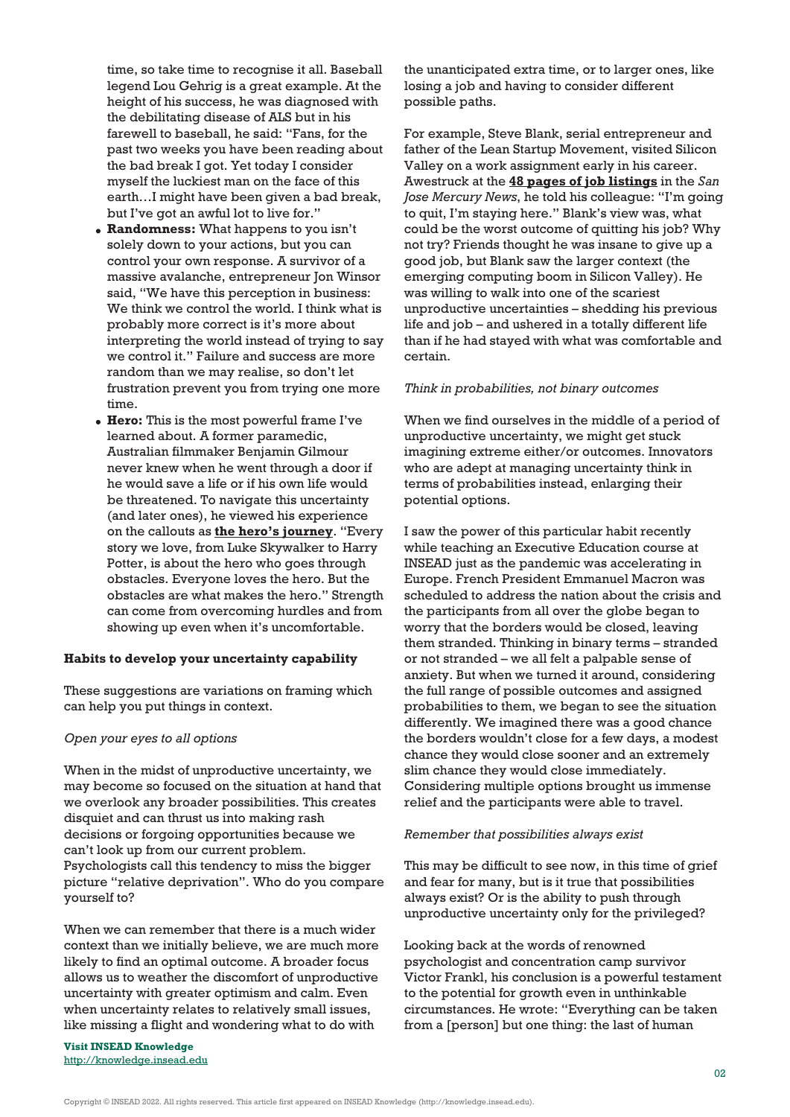time, so take time to recognise it all. Baseball legend Lou Gehrig is a great example. At the height of his success, he was diagnosed with the debilitating disease of ALS but in his farewell to baseball, he said: "Fans, for the past two weeks you have been reading about the bad break I got. Yet today I consider myself the luckiest man on the face of this earth…I might have been given a bad break, but I've got an awful lot to live for."

- **Randomness:** What happens to you isn't solely down to your actions, but you can control your own response. A survivor of a massive avalanche, entrepreneur Jon Winsor said, "We have this perception in business: We think we control the world. I think what is probably more correct is it's more about interpreting the world instead of trying to say we control it." Failure and success are more random than we may realise, so don't let frustration prevent you from trying one more time.
- **Hero:** This is the most powerful frame I've learned about. A former paramedic, Australian filmmaker Benjamin Gilmour never knew when he went through a door if he would save a life or if his own life would be threatened. To navigate this uncertainty (and later ones), he viewed his experience on the callouts as **[the hero's journey](https://www.tlu.ee/~rajaleid/montaazh/Hero%27s%20Journey%20Arch.pdf)**. "Every story we love, from Luke Skywalker to Harry Potter, is about the hero who goes through obstacles. Everyone loves the hero. But the obstacles are what makes the hero." Strength can come from overcoming hurdles and from showing up even when it's uncomfortable.

# **Habits to develop your uncertainty capability**

These suggestions are variations on framing which can help you put things in context.

#### *Open your eyes to all options*

When in the midst of unproductive uncertainty, we may become so focused on the situation at hand that we overlook any broader possibilities. This creates disquiet and can thrust us into making rash decisions or forgoing opportunities because we can't look up from our current problem. Psychologists call this tendency to miss the bigger picture "relative deprivation". Who do you compare yourself to?

When we can remember that there is a much wider context than we initially believe, we are much more likely to find an optimal outcome. A broader focus allows us to weather the discomfort of unproductive uncertainty with greater optimism and calm. Even when uncertainty relates to relatively small issues, like missing a flight and wondering what to do with

**Visit INSEAD Knowledge** <http://knowledge.insead.edu>

the unanticipated extra time, or to larger ones, like losing a job and having to consider different possible paths.

For example, Steve Blank, serial entrepreneur and father of the Lean Startup Movement, visited Silicon Valley on a work assignment early in his career. Awestruck at the **[48 pages of job listings](https://steveblank.com/2016/08/19/clusters-class-culture-and-unfair-advantages/)** in the *San Jose Mercury News*, he told his colleague: "I'm going to quit, I'm staying here." Blank's view was, what could be the worst outcome of quitting his job? Why not try? Friends thought he was insane to give up a good job, but Blank saw the larger context (the emerging computing boom in Silicon Valley). He was willing to walk into one of the scariest unproductive uncertainties – shedding his previous life and job – and ushered in a totally different life than if he had stayed with what was comfortable and certain.

#### *Think in probabilities, not binary outcomes*

When we find ourselves in the middle of a period of unproductive uncertainty, we might get stuck imagining extreme either/or outcomes. Innovators who are adept at managing uncertainty think in terms of probabilities instead, enlarging their potential options.

I saw the power of this particular habit recently while teaching an Executive Education course at INSEAD just as the pandemic was accelerating in Europe. French President Emmanuel Macron was scheduled to address the nation about the crisis and the participants from all over the globe began to worry that the borders would be closed, leaving them stranded. Thinking in binary terms – stranded or not stranded – we all felt a palpable sense of anxiety. But when we turned it around, considering the full range of possible outcomes and assigned probabilities to them, we began to see the situation differently. We imagined there was a good chance the borders wouldn't close for a few days, a modest chance they would close sooner and an extremely slim chance they would close immediately. Considering multiple options brought us immense relief and the participants were able to travel.

#### *Remember that possibilities always exist*

This may be difficult to see now, in this time of grief and fear for many, but is it true that possibilities always exist? Or is the ability to push through unproductive uncertainty only for the privileged?

Looking back at the words of renowned psychologist and concentration camp survivor Victor Frankl, his conclusion is a powerful testament to the potential for growth even in unthinkable circumstances. He wrote: "Everything can be taken from a [person] but one thing: the last of human

Copyright © INSEAD 2022. All rights reserved. This article first appeared on INSEAD Knowledge (http://knowledge.insead.edu).